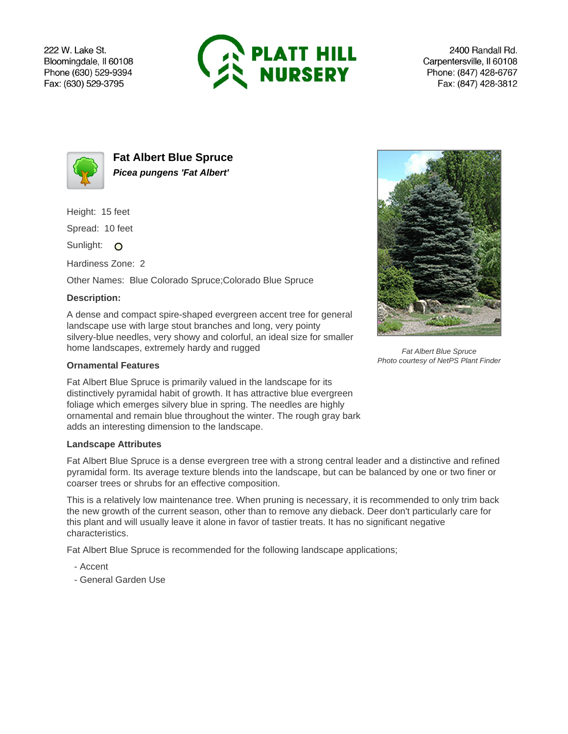222 W. Lake St. Bloomingdale, Il 60108 Phone (630) 529-9394 Fax: (630) 529-3795



2400 Randall Rd. Carpentersville, Il 60108 Phone: (847) 428-6767 Fax: (847) 428-3812



**Fat Albert Blue Spruce Picea pungens 'Fat Albert'**

Height: 15 feet

Spread: 10 feet

Sunlight: O

Hardiness Zone: 2

Other Names: Blue Colorado Spruce;Colorado Blue Spruce

## **Description:**

A dense and compact spire-shaped evergreen accent tree for general landscape use with large stout branches and long, very pointy silvery-blue needles, very showy and colorful, an ideal size for smaller home landscapes, extremely hardy and rugged

## **Ornamental Features**

Fat Albert Blue Spruce is primarily valued in the landscape for its distinctively pyramidal habit of growth. It has attractive blue evergreen foliage which emerges silvery blue in spring. The needles are highly ornamental and remain blue throughout the winter. The rough gray bark adds an interesting dimension to the landscape.

## **Landscape Attributes**

Fat Albert Blue Spruce is a dense evergreen tree with a strong central leader and a distinctive and refined pyramidal form. Its average texture blends into the landscape, but can be balanced by one or two finer or coarser trees or shrubs for an effective composition.

This is a relatively low maintenance tree. When pruning is necessary, it is recommended to only trim back the new growth of the current season, other than to remove any dieback. Deer don't particularly care for this plant and will usually leave it alone in favor of tastier treats. It has no significant negative characteristics.

Fat Albert Blue Spruce is recommended for the following landscape applications;

- Accent
- General Garden Use



Fat Albert Blue Spruce Photo courtesy of NetPS Plant Finder